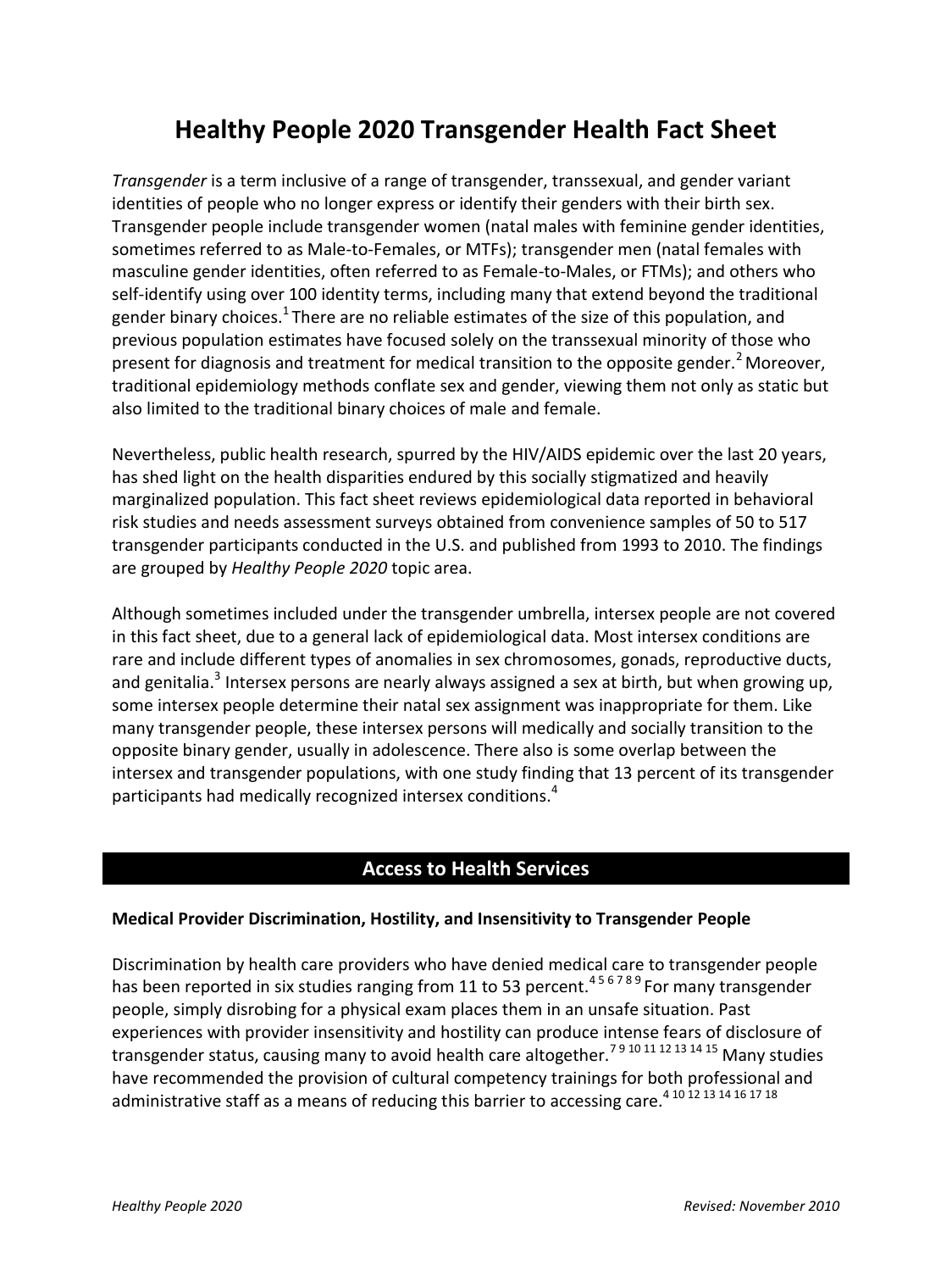# **Healthy People 2020 Transgender Health Fact Sheet**

*Transgender* is a term inclusive of a range of transgender, transsexual, and gender variant identities of people who no longer express or identify their genders with their birth sex. Transgender people include transgender women (natal males with feminine gender identities, sometimes referred to as Male-to-Females, or MTFs); transgender men (natal females with masculine gender identities, often referred to as Female-to-Males, or FTMs); and others who self-identify using over 100 identity terms, including many that extend beyond the traditional gender binary choices.<sup>1</sup> There are no reliable estimates of the size of this population, and previous population estimates have focused solely on the transsexual minority of those who present for diagnosis and treatment for medical transition to the opposite gender.<sup>2</sup> Moreover, traditional epidemiology methods conflate sex and gender, viewing them not only as static but also limited to the traditional binary choices of male and female.

Nevertheless, public health research, spurred by the HIV/AIDS epidemic over the last 20 years, has shed light on the health disparities endured by this socially stigmatized and heavily marginalized population. This fact sheet reviews epidemiological data reported in behavioral risk studies and needs assessment surveys obtained from convenience samples of 50 to 517 transgender participants conducted in the U.S. and published from 1993 to 2010. The findings are grouped by *Healthy People 2020* topic area.

Although sometimes included under the transgender umbrella, intersex people are not covered in this fact sheet, due to a general lack of epidemiological data. Most intersex conditions are rare and include different types of anomalies in sex chromosomes, gonads, reproductive ducts, and genitalia.<sup>3</sup> Intersex persons are nearly always assigned a sex at birth, but when growing up, some intersex people determine their natal sex assignment was inappropriate for them. Like many transgender people, these intersex persons will medically and socially transition to the opposite binary gender, usually in adolescence. There also is some overlap between the intersex and transgender populations, with one study finding that 13 percent of its transgender participants had medically recognized intersex conditions.<sup>4</sup>

## **Access to Health Services**

#### **Medical Provider Discrimination, Hostility, and Insensitivity to Transgender People**

Discrimination by health care providers who have denied medical care to transgender people has been reported in six studies ranging from 11 to 53 percent.<sup>456789</sup> For many transgender people, simply disrobing for a physical exam places them in an unsafe situation. Past experiences with provider insensitivity and hostility can produce intense fears of disclosure of transgender status, causing many to avoid health care altogether.<sup>79 10 11 12 13 14 15</sup> Many studies have recommended the provision of cultural competency trainings for both professional and administrative staff as a means of reducing this barrier to accessing care.<sup>410</sup><sup>12</sup><sup>13</sup><sup>14</sup><sup>16</sup><sup>17</sup><sup>18</sup>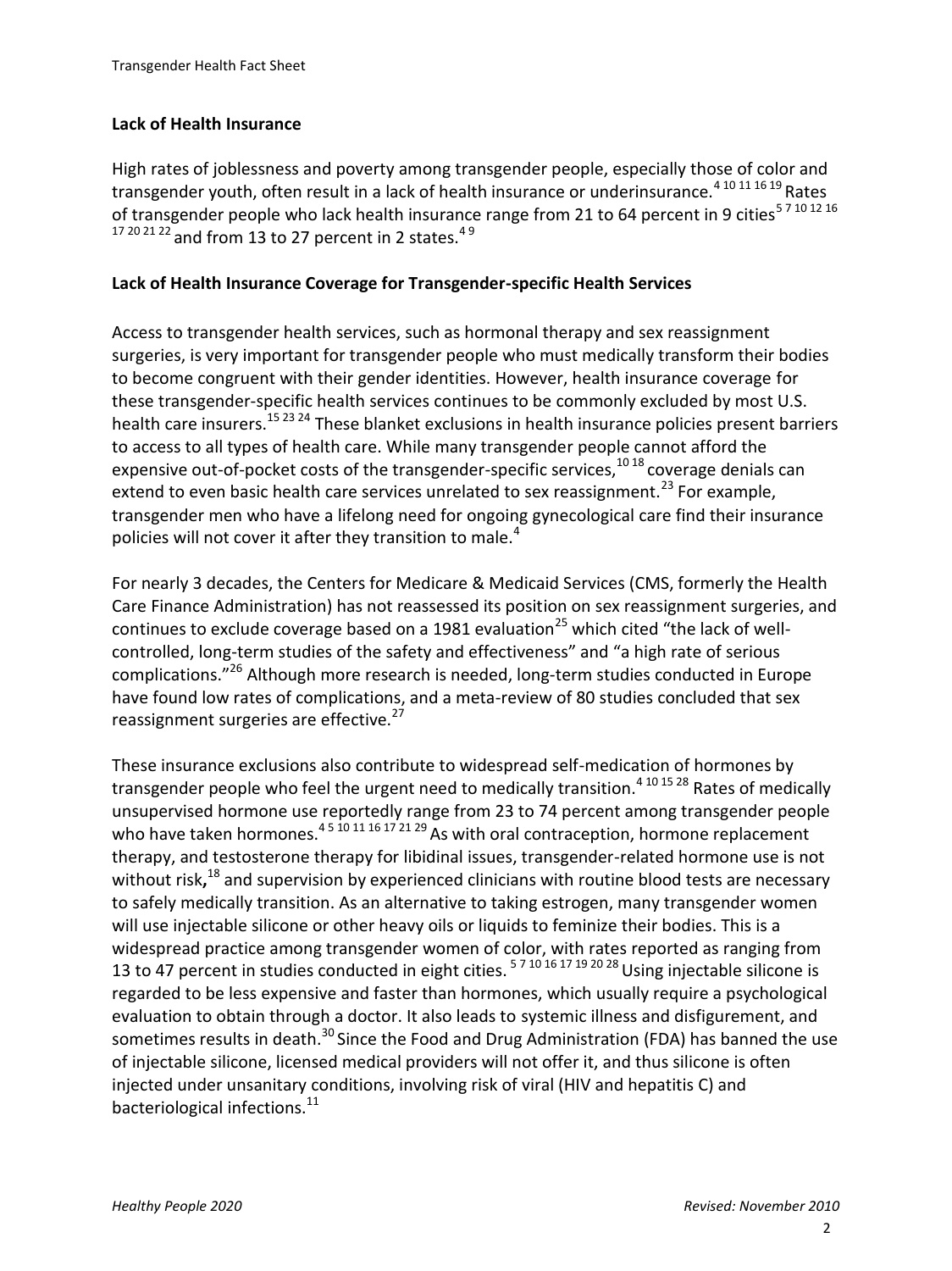#### **Lack of Health Insurance**

High rates of joblessness and poverty among transgender people, especially those of color and transgender youth, often result in a lack of health insurance or underinsurance.4 10 11 16 19 Rates of transgender people who lack health insurance range from 21 to 64 percent in 9 cities<sup>57 10 12 16</sup>  $17202122$  and from 13 to 27 percent in 2 states.<sup>49</sup>

#### **Lack of Health Insurance Coverage for Transgender-specific Health Services**

Access to transgender health services, such as hormonal therapy and sex reassignment surgeries, is very important for transgender people who must medically transform their bodies to become congruent with their gender identities. However, health insurance coverage for these transgender-specific health services continues to be commonly excluded by most U.S. health care insurers.15 23 24 These blanket exclusions in health insurance policies present barriers to access to all types of health care. While many transgender people cannot afford the expensive out-of-pocket costs of the transgender-specific services, $10^{18}$  coverage denials can extend to even basic health care services unrelated to sex reassignment.<sup>23</sup> For example, transgender men who have a lifelong need for ongoing gynecological care find their insurance policies will not cover it after they transition to male.<sup>4</sup>

For nearly 3 decades, the Centers for Medicare & Medicaid Services (CMS, formerly the Health Care Finance Administration) has not reassessed its position on sex reassignment surgeries, and continues to exclude coverage based on a 1981 evaluation<sup>25</sup> which cited "the lack of wellcontrolled, long-term studies of the safety and effectiveness" and "a high rate of serious complications."<sup>26</sup> Although more research is needed, long-term studies conducted in Europe have found low rates of complications, and a meta-review of 80 studies concluded that sex reassignment surgeries are effective.<sup>27</sup>

These insurance exclusions also contribute to widespread self-medication of hormones by transgender people who feel the urgent need to medically transition.<sup>4 10 15 28</sup> Rates of medically unsupervised hormone use reportedly range from 23 to 74 percent among transgender people who have taken hormones.<sup>45 10 11 16 17 21 29</sup> As with oral contraception, hormone replacement therapy, and testosterone therapy for libidinal issues, transgender-related hormone use is not without risk**,** <sup>18</sup> and supervision by experienced clinicians with routine blood tests are necessary to safely medically transition. As an alternative to taking estrogen, many transgender women will use injectable silicone or other heavy oils or liquids to feminize their bodies. This is a widespread practice among transgender women of color, with rates reported as ranging from 13 to 47 percent in studies conducted in eight cities. 5 7 10 16 17 19 20 28 Using injectable silicone is regarded to be less expensive and faster than hormones, which usually require a psychological evaluation to obtain through a doctor. It also leads to systemic illness and disfigurement, and sometimes results in death.<sup>30</sup> Since the Food and Drug Administration (FDA) has banned the use of injectable silicone, licensed medical providers will not offer it, and thus silicone is often injected under unsanitary conditions, involving risk of viral (HIV and hepatitis C) and bacteriological infections.<sup>11</sup>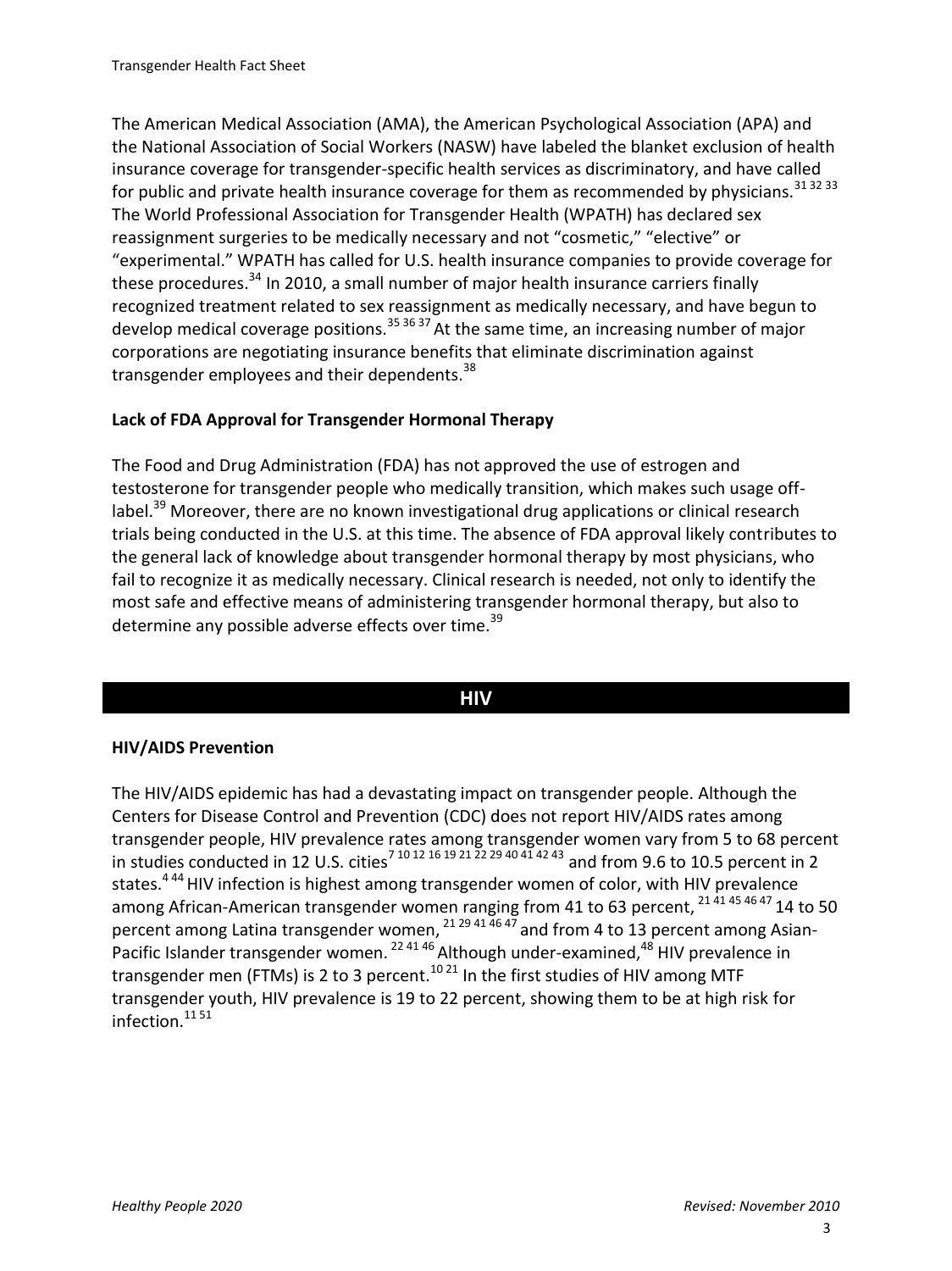The American Medical Association (AMA), the American Psychological Association (APA) and the National Association of Social Workers (NASW) have labeled the blanket exclusion of health insurance coverage for transgender-specific health services as discriminatory, and have called for public and private health insurance coverage for them as recommended by physicians.  $31\,32\,33$ The World Professional Association for Transgender Health (WPATH) has declared sex reassignment surgeries to be medically necessary and not "cosmetic," "elective" or "experimental." WPATH has called for U.S. health insurance companies to provide coverage for these procedures.<sup>34</sup> In 2010, a small number of major health insurance carriers finally recognized treatment related to sex reassignment as medically necessary, and have begun to develop medical coverage positions.<sup>35 36 37</sup> At the same time, an increasing number of major corporations are negotiating insurance benefits that eliminate discrimination against transgender employees and their dependents.<sup>38</sup>

#### **Lack of FDA Approval for Transgender Hormonal Therapy**

The Food and Drug Administration (FDA) has not approved the use of estrogen and testosterone for transgender people who medically transition, which makes such usage offlabel.<sup>39</sup> Moreover, there are no known investigational drug applications or clinical research trials being conducted in the U.S. at this time. The absence of FDA approval likely contributes to the general lack of knowledge about transgender hormonal therapy by most physicians, who fail to recognize it as medically necessary. Clinical research is needed, not only to identify the most safe and effective means of administering transgender hormonal therapy, but also to determine any possible adverse effects over time.<sup>39</sup>

#### **HIV**

#### **HIV/AIDS Prevention**

The HIV/AIDS epidemic has had a devastating impact on transgender people. Although the Centers for Disease Control and Prevention (CDC) does not report HIV/AIDS rates among transgender people, HIV prevalence rates among transgender women vary from 5 to 68 percent in studies conducted in 12 U.S. cities<sup>7 10 12</sup> 16 19 21 22 29 40 41 42 43 and from 9.6 to 10.5 percent in 2 states.<sup>444</sup> HIV infection is highest among transgender women of color, with HIV prevalence among African-American transgender women ranging from 41 to 63 percent, 21 41 45 46 47 14 to 50 percent among Latina transgender women,  $21 29 41 46 47$  and from 4 to 13 percent among Asian-Pacific Islander transgender women.  $^{22\,41\,46}$  Although under-examined,  $^{48}$  HIV prevalence in transgender men (FTMs) is 2 to 3 percent.<sup>10 21</sup> In the first studies of HIV among MTF transgender youth, HIV prevalence is 19 to 22 percent, showing them to be at high risk for infection. $11\,51$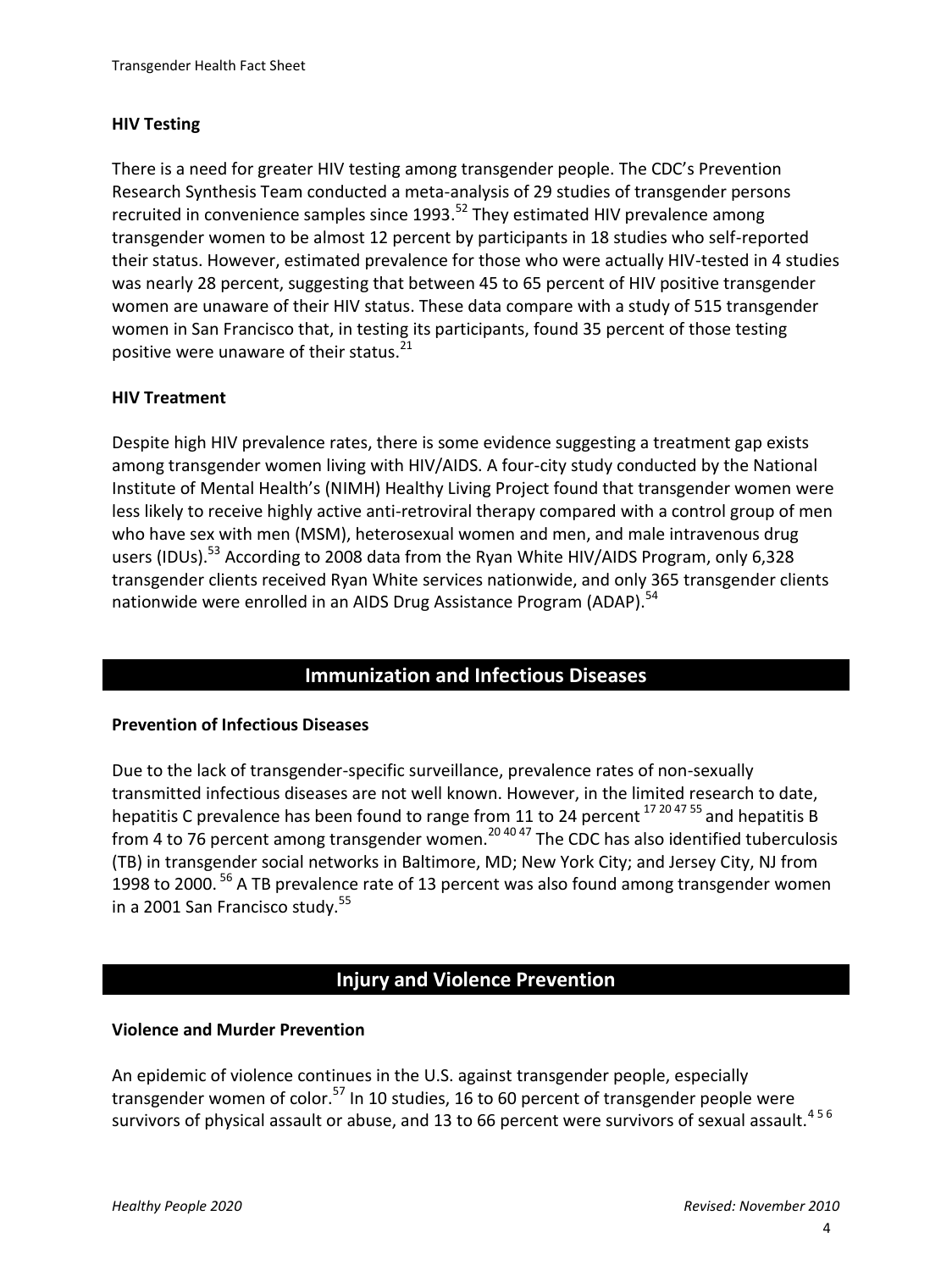#### **HIV Testing**

There is a need for greater HIV testing among transgender people. The CDC's Prevention Research Synthesis Team conducted a meta-analysis of 29 studies of transgender persons recruited in convenience samples since  $1993$ .<sup>52</sup> They estimated HIV prevalence among transgender women to be almost 12 percent by participants in 18 studies who self-reported their status. However, estimated prevalence for those who were actually HIV-tested in 4 studies was nearly 28 percent, suggesting that between 45 to 65 percent of HIV positive transgender women are unaware of their HIV status. These data compare with a study of 515 transgender women in San Francisco that, in testing its participants, found 35 percent of those testing positive were unaware of their status. $21$ 

#### **HIV Treatment**

Despite high HIV prevalence rates, there is some evidence suggesting a treatment gap exists among transgender women living with HIV/AIDS. A four-city study conducted by the National Institute of Mental Health's (NIMH) Healthy Living Project found that transgender women were less likely to receive highly active anti-retroviral therapy compared with a control group of men who have sex with men (MSM), heterosexual women and men, and male intravenous drug users (IDUs).<sup>53</sup> According to 2008 data from the Ryan White HIV/AIDS Program, only 6,328 transgender clients received Ryan White services nationwide, and only 365 transgender clients nationwide were enrolled in an AIDS Drug Assistance Program (ADAP).<sup>54</sup>

## **Immunization and Infectious Diseases**

#### **Prevention of Infectious Diseases**

Due to the lack of transgender-specific surveillance, prevalence rates of non-sexually transmitted infectious diseases are not well known. However, in the limited research to date, hepatitis C prevalence has been found to range from 11 to 24 percent  $17\frac{204755}{17}$  and hepatitis B from 4 to 76 percent among transgender women.<sup>20 40 47</sup> The CDC has also identified tuberculosis (TB) in transgender social networks in Baltimore, MD; New York City; and Jersey City, NJ from 1998 to 2000.<sup>56</sup> A TB prevalence rate of 13 percent was also found among transgender women in a 2001 San Francisco study.<sup>55</sup>

# **Injury and Violence Prevention**

#### **Violence and Murder Prevention**

An epidemic of violence continues in the U.S. against transgender people, especially transgender women of color.<sup>57</sup> In 10 studies, 16 to 60 percent of transgender people were survivors of physical assault or abuse, and 13 to 66 percent were survivors of sexual assault.<sup>456</sup>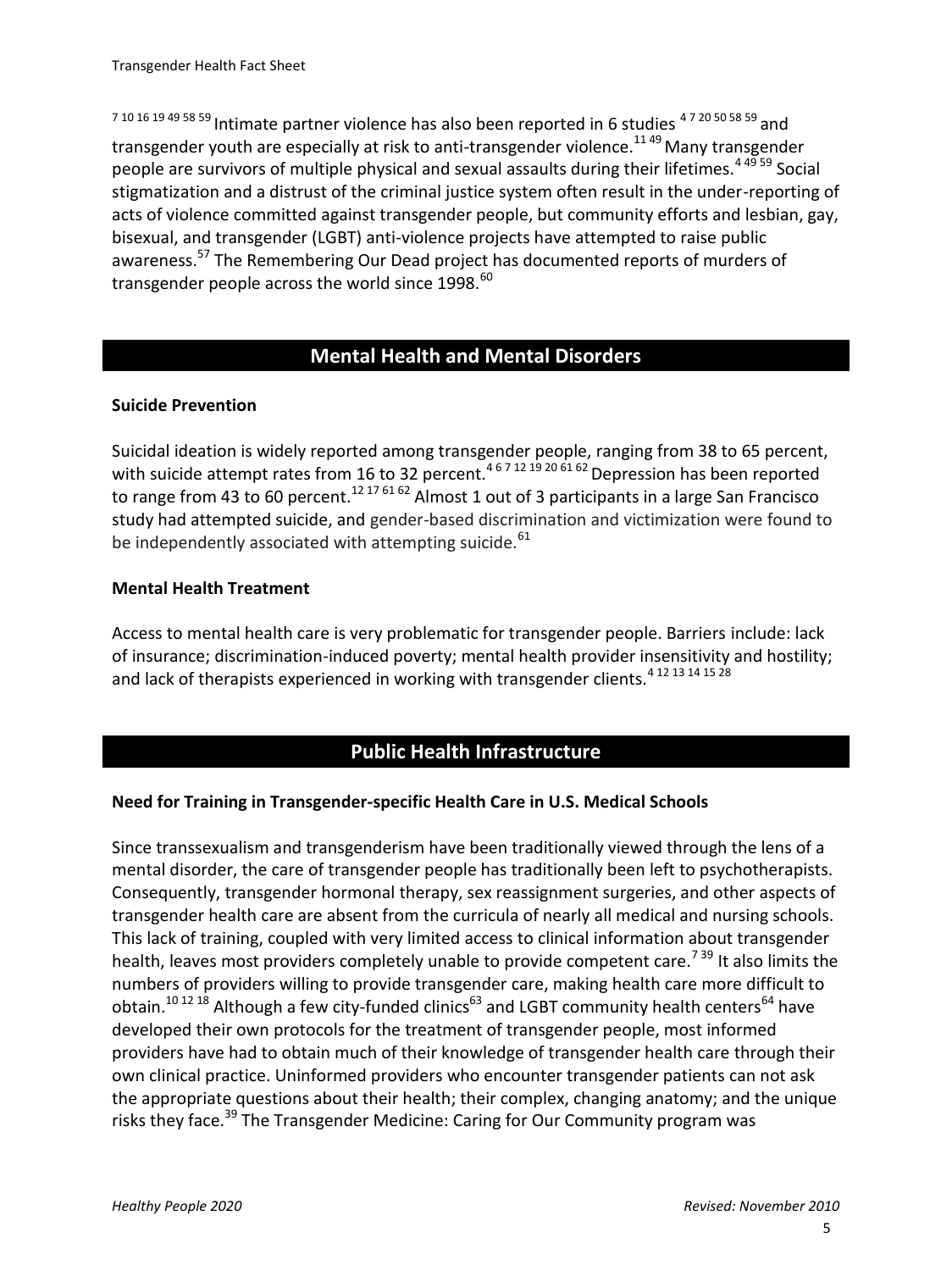7 10 16 19 49 58 59 Intimate partner violence has also been reported in 6 studies 4 7 20 50 58 59 and transgender youth are especially at risk to anti-transgender violence.<sup>1149</sup> Many transgender people are survivors of multiple physical and sexual assaults during their lifetimes.<sup>44959</sup> Social stigmatization and a distrust of the criminal justice system often result in the under-reporting of acts of violence committed against transgender people, but community efforts and lesbian, gay, bisexual, and transgender (LGBT) anti-violence projects have attempted to raise public awareness.<sup>57</sup> The Remembering Our Dead project has documented reports of murders of transgender people across the world since  $1998$ .  $^{60}$ 

# **Mental Health and Mental Disorders**

#### **Suicide Prevention**

Suicidal ideation is widely reported among transgender people, ranging from 38 to 65 percent, with suicide attempt rates from 16 to 32 percent.<sup>4671219206162</sup> Depression has been reported to range from 43 to 60 percent.<sup>12 17 61 62</sup> Almost 1 out of 3 participants in a large San Francisco study had attempted suicide, and gender-based discrimination and victimization were found to be independently associated with attempting suicide.<sup>61</sup>

#### **Mental Health Treatment**

Access to mental health care is very problematic for transgender people. Barriers include: lack of insurance; discrimination-induced poverty; mental health provider insensitivity and hostility; and lack of therapists experienced in working with transgender clients.<sup>4 12 13 14 15 28</sup>

# **Public Health Infrastructure**

## **Need for Training in Transgender-specific Health Care in U.S. Medical Schools**

Since transsexualism and transgenderism have been traditionally viewed through the lens of a mental disorder, the care of transgender people has traditionally been left to psychotherapists. Consequently, transgender hormonal therapy, sex reassignment surgeries, and other aspects of transgender health care are absent from the curricula of nearly all medical and nursing schools. This lack of training, coupled with very limited access to clinical information about transgender health, leaves most providers completely unable to provide competent care.<sup>739</sup> It also limits the numbers of providers willing to provide transgender care, making health care more difficult to obtain.<sup>10 12 18</sup> Although a few city-funded clinics<sup>63</sup> and LGBT community health centers<sup>64</sup> have developed their own protocols for the treatment of transgender people, most informed providers have had to obtain much of their knowledge of transgender health care through their own clinical practice. Uninformed providers who encounter transgender patients can not ask the appropriate questions about their health; their complex, changing anatomy; and the unique risks they face.<sup>39</sup> The Transgender Medicine: Caring for Our Community program was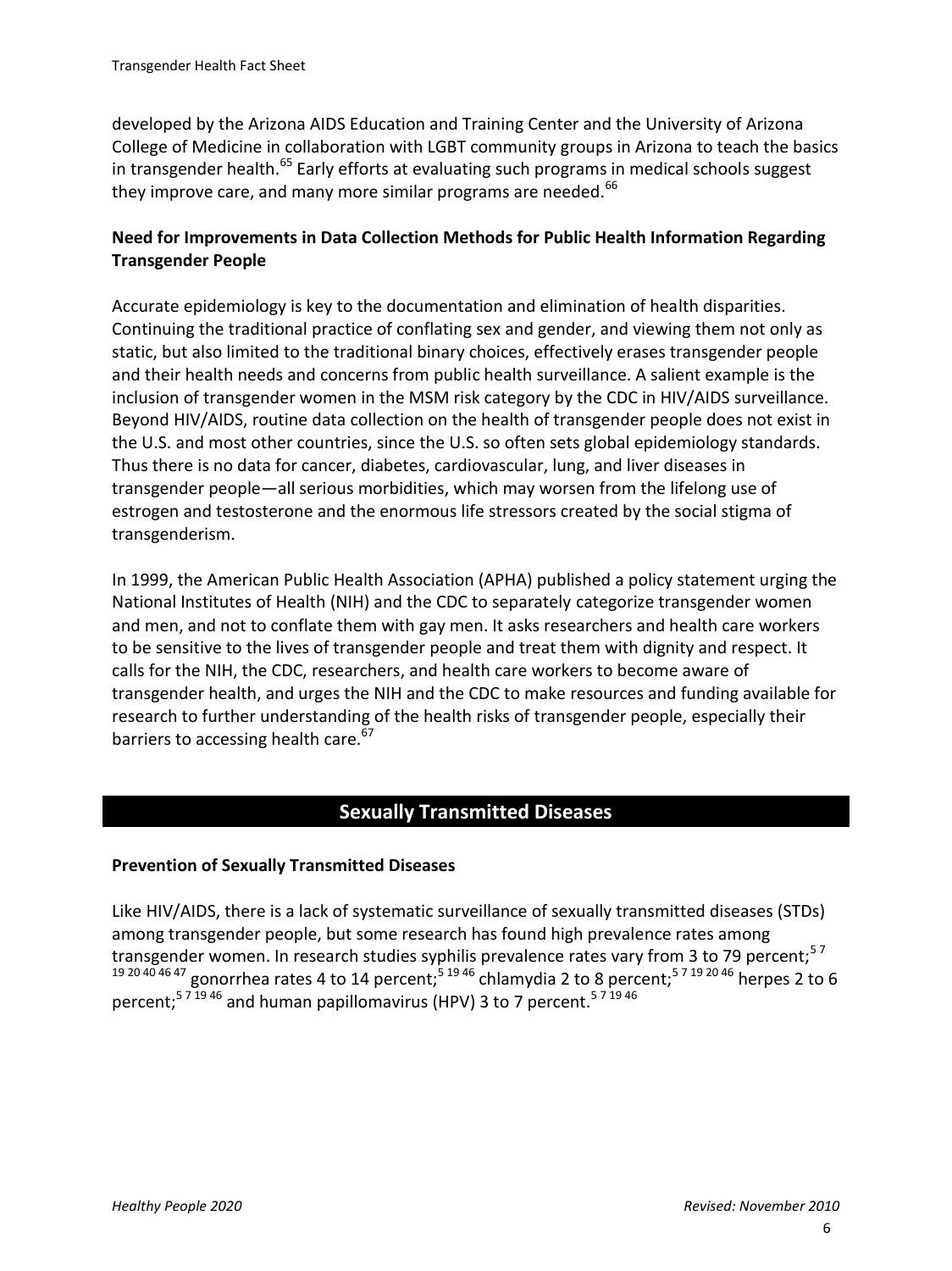developed by the Arizona AIDS Education and Training Center and the University of Arizona College of Medicine in collaboration with LGBT community groups in Arizona to teach the basics in transgender health.<sup>65</sup> Early efforts at evaluating such programs in medical schools suggest they improve care, and many more similar programs are needed. $^{66}$ 

## **Need for Improvements in Data Collection Methods for Public Health Information Regarding Transgender People**

Accurate epidemiology is key to the documentation and elimination of health disparities. Continuing the traditional practice of conflating sex and gender, and viewing them not only as static, but also limited to the traditional binary choices, effectively erases transgender people and their health needs and concerns from public health surveillance. A salient example is the inclusion of transgender women in the MSM risk category by the CDC in HIV/AIDS surveillance. Beyond HIV/AIDS, routine data collection on the health of transgender people does not exist in the U.S. and most other countries, since the U.S. so often sets global epidemiology standards. Thus there is no data for cancer, diabetes, cardiovascular, lung, and liver diseases in transgender people—all serious morbidities, which may worsen from the lifelong use of estrogen and testosterone and the enormous life stressors created by the social stigma of transgenderism.

In 1999, the American Public Health Association (APHA) published a policy statement urging the National Institutes of Health (NIH) and the CDC to separately categorize transgender women and men, and not to conflate them with gay men. It asks researchers and health care workers to be sensitive to the lives of transgender people and treat them with dignity and respect. It calls for the NIH, the CDC, researchers, and health care workers to become aware of transgender health, and urges the NIH and the CDC to make resources and funding available for research to further understanding of the health risks of transgender people, especially their barriers to accessing health care. $67$ 

# **Sexually Transmitted Diseases**

## **Prevention of Sexually Transmitted Diseases**

Like HIV/AIDS, there is a lack of systematic surveillance of sexually transmitted diseases (STDs) among transgender people, but some research has found high prevalence rates among transgender women. In research studies syphilis prevalence rates vary from 3 to 79 percent;  $57$ <sup>19 20 40 46 47</sup> gonorrhea rates 4 to 14 percent;<sup>5 19 46</sup> chlamydia 2 to 8 percent;<sup>5 7 19 20 46</sup> herpes 2 to 6 percent;<sup>571946</sup> and human papillomavirus (HPV) 3 to 7 percent.<sup>571946</sup>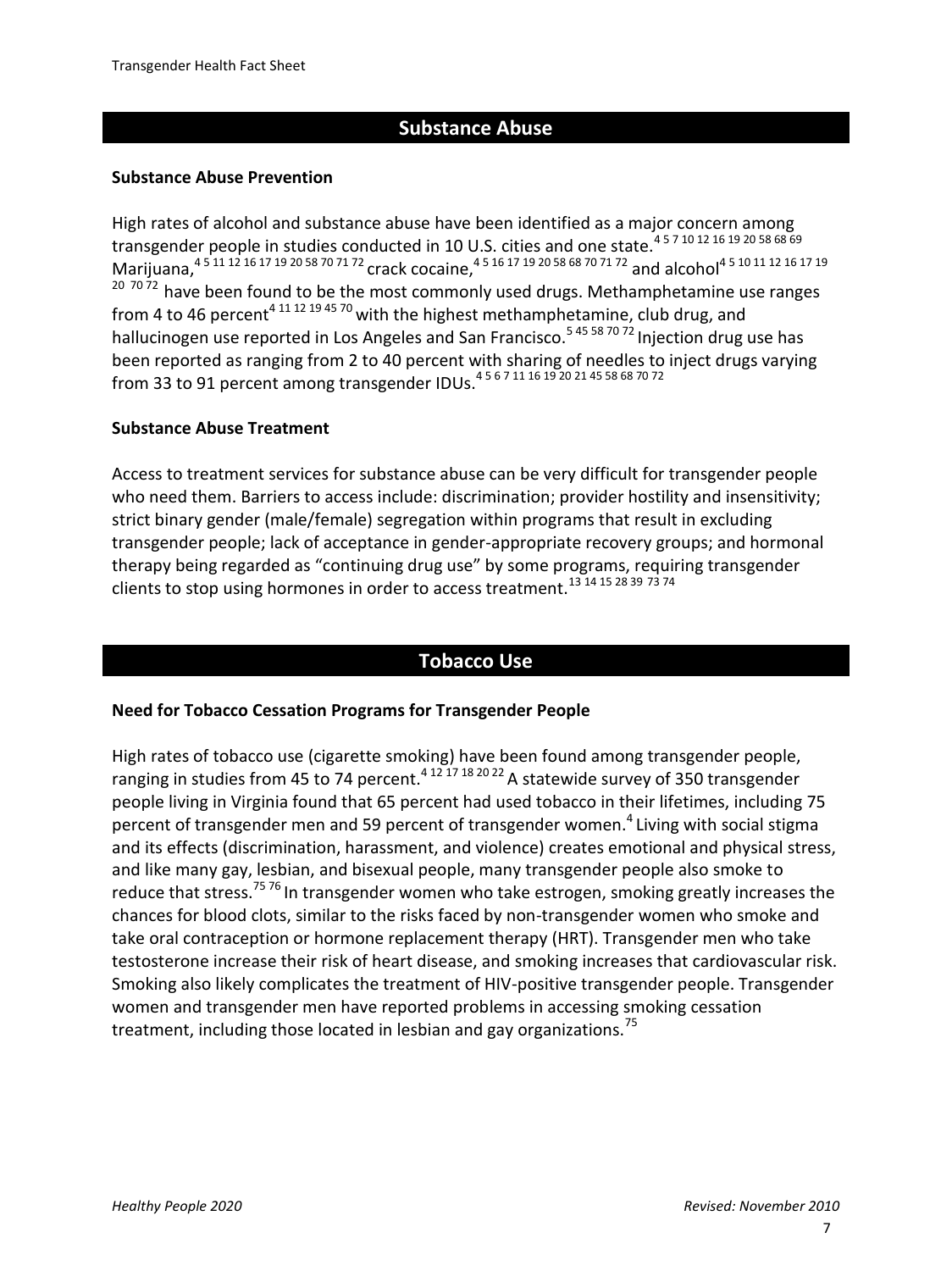#### **Substance Abuse**

#### **Substance Abuse Prevention**

High rates of alcohol and substance abuse have been identified as a major concern among transgender people in studies conducted in 10 U.S. cities and one state.<sup>4571012161920586869</sup> marijuana,  $4\frac{4}{3}$  11 12 16 17 19 20 58 70 71 72 crack cocaine,  $4\frac{5}{3}$  16 17 19 20 58 68 70 71 72 and alcohol<sup>4 5 10 11 12 16 17 19</sup>  $207072$  have been found to be the most commonly used drugs. Methamphetamine use ranges from 4 to 46 percent<sup>4 11 12 19 45 70</sup> with the highest methamphetamine, club drug, and hallucinogen use reported in Los Angeles and San Francisco.<sup>545 58 70 72</sup> Injection drug use has been reported as ranging from 2 to 40 percent with sharing of needles to inject drugs varying from 33 to 91 percent among transgender IDUs.4 5 6 7 11 16 19 20 21 45 58 68 70 72

#### **Substance Abuse Treatment**

Access to treatment services for substance abuse can be very difficult for transgender people who need them. Barriers to access include: discrimination; provider hostility and insensitivity; strict binary gender (male/female) segregation within programs that result in excluding transgender people; lack of acceptance in gender-appropriate recovery groups; and hormonal therapy being regarded as "continuing drug use" by some programs, requiring transgender clients to stop using hormones in order to access treatment.13 14 15 28 39 73 74

#### **Tobacco Use**

#### **Need for Tobacco Cessation Programs for Transgender People**

High rates of tobacco use (cigarette smoking) have been found among transgender people, ranging in studies from 45 to 74 percent.<sup>4 12 17 18 20 22</sup> A statewide survey of 350 transgender people living in Virginia found that 65 percent had used tobacco in their lifetimes, including 75 percent of transgender men and 59 percent of transgender women.<sup>4</sup> Living with social stigma and its effects (discrimination, harassment, and violence) creates emotional and physical stress, and like many gay, lesbian, and bisexual people, many transgender people also smoke to reduce that stress.<sup>75 76</sup> In transgender women who take estrogen, smoking greatly increases the chances for blood clots, similar to the risks faced by non-transgender women who smoke and take oral contraception or hormone replacement therapy (HRT). Transgender men who take testosterone increase their risk of heart disease, and smoking increases that cardiovascular risk. Smoking also likely complicates the treatment of HIV-positive transgender people. Transgender women and transgender men have reported problems in accessing smoking cessation treatment, including those located in lesbian and gay organizations.<sup>75</sup>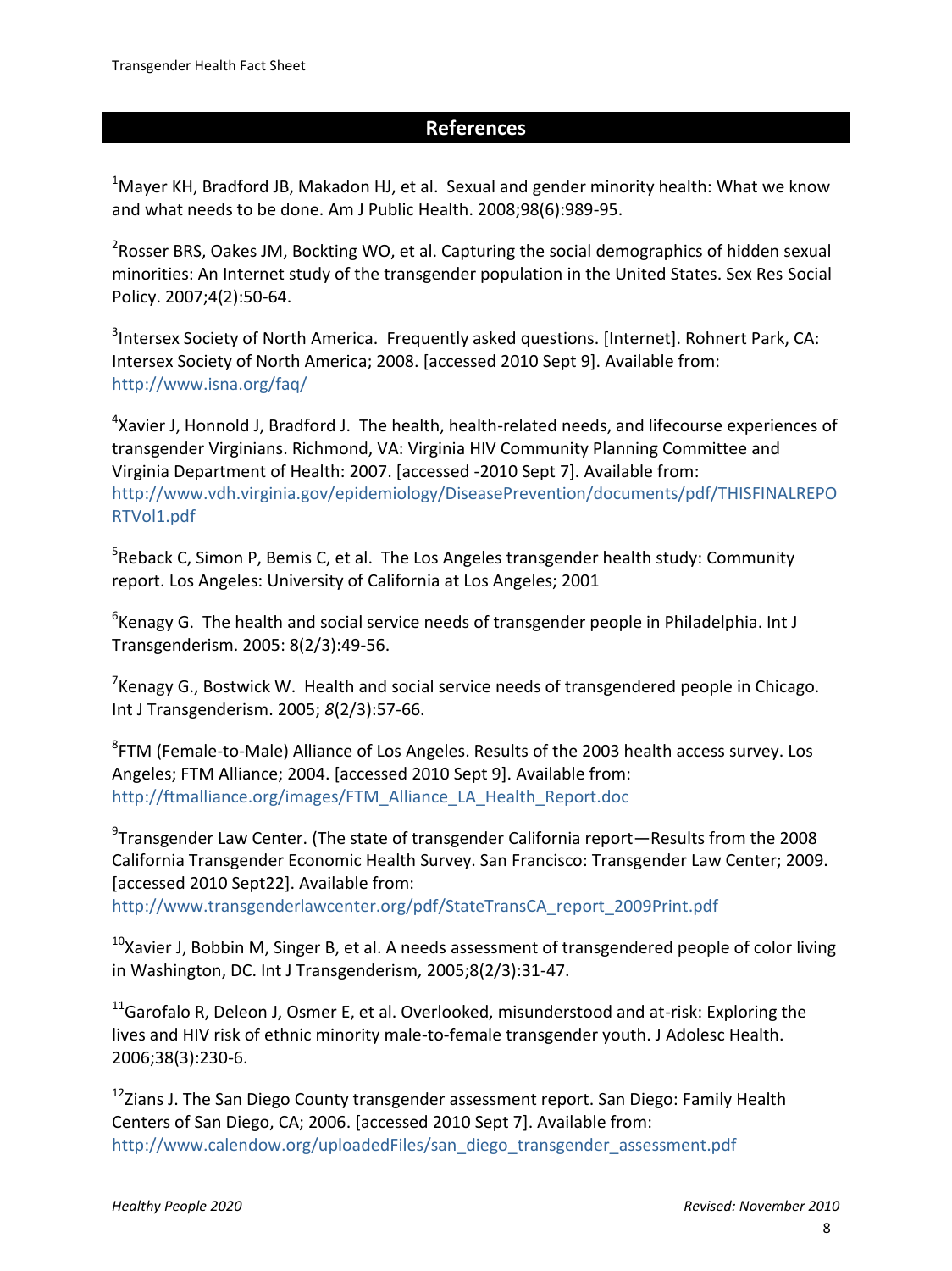#### **References**

 $1$ Maver KH, Bradford JB, Makadon HJ, et al. Sexual and gender minority health: What we know and what needs to be done. Am J Public Health. 2008;98(6):989-95.

<sup>2</sup>Rosser BRS, Oakes JM, Bockting WO, et al. Capturing the social demographics of hidden sexual minorities: An Internet study of the transgender population in the United States. Sex Res Social Policy. 2007;4(2):50-64.

 $3$ Intersex Society of North America. Frequently asked questions. [Internet]. Rohnert Park, CA: Intersex Society of North America; 2008. [accessed 2010 Sept 9]. Available from: <http://www.isna.org/faq/>

<sup>4</sup>Xavier J, Honnold J, Bradford J. The health, health-related needs, and lifecourse experiences of transgender Virginians. Richmond, VA: Virginia HIV Community Planning Committee and Virginia Department of Health: 2007. [accessed -2010 Sept 7]. Available from: [http://www.vdh.virginia.gov/epidemiology/DiseasePrevention/documents/pdf/THISFINALREPO](http://www.vdh.virginia.gov/epidemiology/DiseasePrevention/documents/pdf/THISFINALREPORTVol1.pdf) [RTVol1.pdf](http://www.vdh.virginia.gov/epidemiology/DiseasePrevention/documents/pdf/THISFINALREPORTVol1.pdf)

<sup>5</sup>Reback C, Simon P, Bemis C, et al. The Los Angeles transgender health study: Community report. Los Angeles: University of California at Los Angeles; 2001

 ${}^{6}$ Kenagy G. The health and social service needs of transgender people in Philadelphia. Int J Transgenderism. 2005: 8(2/3):49-56.

<sup>7</sup> Kenagy G., Bostwick W. Health and social service needs of transgendered people in Chicago. Int J Transgenderism. 2005; *8*(2/3):57-66.

<sup>8</sup>FTM (Female-to-Male) Alliance of Los Angeles. Results of the 2003 health access survey. Los Angeles; FTM Alliance; 2004. [accessed 2010 Sept 9]. Available from: [http://ftmalliance.org/images/FTM\\_Alliance\\_LA\\_Health\\_Report.doc](http://ftmalliance.org/images/FTM_Alliance_LA_Health_Report.doc)

 $9$ Transgender Law Center. (The state of transgender California report—Results from the 2008 California Transgender Economic Health Survey. San Francisco: Transgender Law Center; 2009. [accessed 2010 Sept22]. Available from:

[http://www.transgenderlawcenter.org/pdf/StateTransCA\\_report\\_2009Print.pdf](http://www.transgenderlawcenter.org/pdf/StateTransCA_report_2009Print.pdf)

 $10$ Xavier J, Bobbin M, Singer B, et al. A needs assessment of transgendered people of color living in Washington, DC. Int J Transgenderism*,* 2005;8(2/3):31-47.

 $11$ Garofalo R, Deleon J, Osmer E, et al. Overlooked, misunderstood and at-risk: Exploring the lives and HIV risk of ethnic minority male-to-female transgender youth. J Adolesc Health. 2006;38(3):230-6.

<sup>12</sup>Zians J. The San Diego County transgender assessment report. San Diego: Family Health Centers of San Diego, CA; 2006. [accessed 2010 Sept 7]. Available from: [http://www.calendow.org/uploadedFiles/san\\_diego\\_transgender\\_assessment.pdf](http://www.calendow.org/uploadedFiles/san_diego_transgender_assessment.pdf)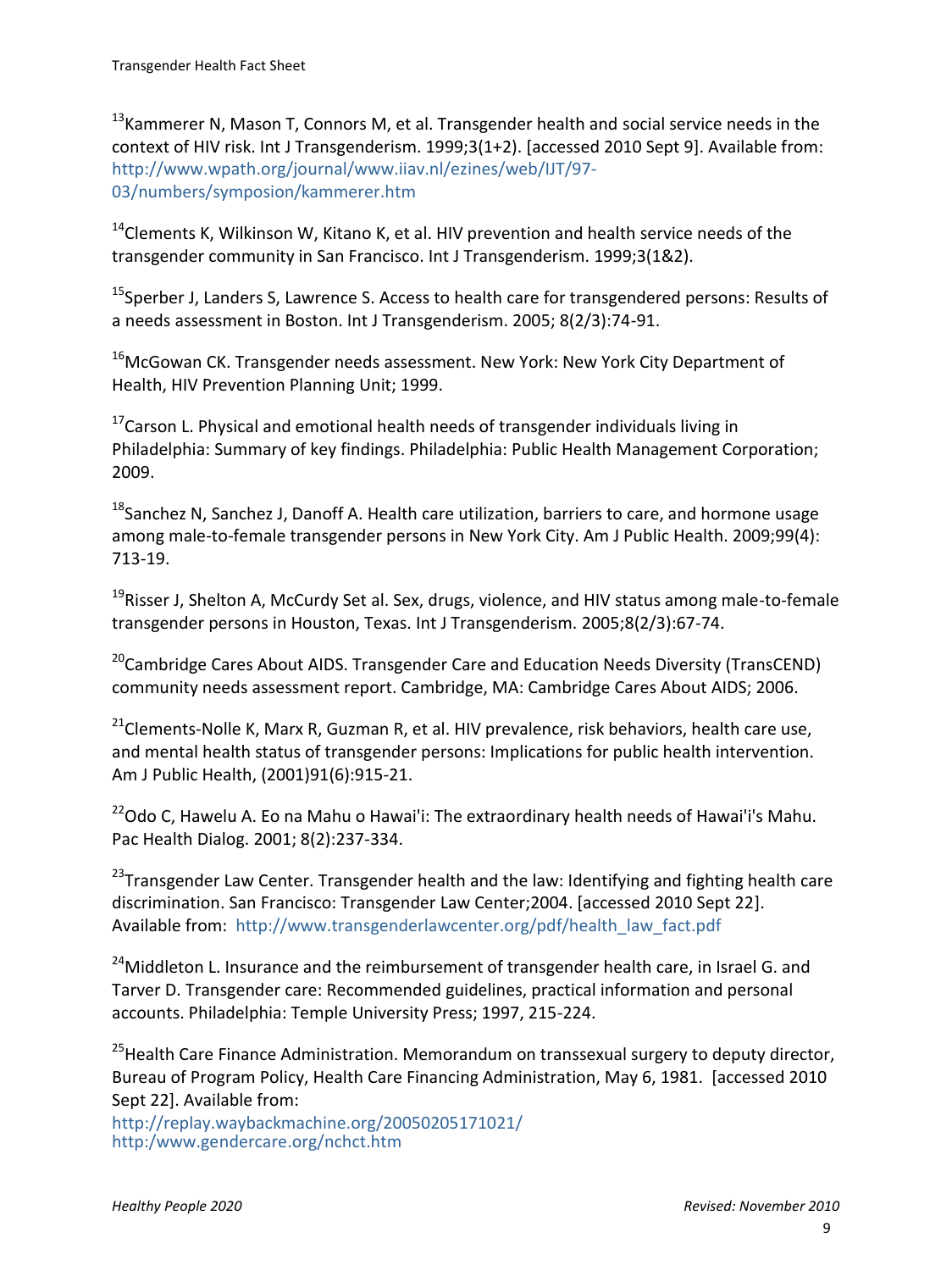$13$ Kammerer N, Mason T, Connors M, et al. Transgender health and social service needs in the context of HIV risk. Int J Transgenderism. 1999;3(1+2). [accessed 2010 Sept 9]. Available from: [http://www.wpath.org/journal/www.iiav.nl/ezines/web/IJT/97-](http://www.wpath.org/journal/www.iiav.nl/ezines/web/IJT/97-03/numbers/symposion/kammerer.htm) [03/numbers/symposion/kammerer.htm](http://www.wpath.org/journal/www.iiav.nl/ezines/web/IJT/97-03/numbers/symposion/kammerer.htm)

 $14$ Clements K, Wilkinson W, Kitano K, et al. HIV prevention and health service needs of the transgender community in San Francisco. Int J Transgenderism. 1999;3(1&2).

<sup>15</sup>Sperber J, Landers S, Lawrence S. Access to health care for transgendered persons: Results of a needs assessment in Boston. Int J Transgenderism. 2005; 8(2/3):74-91.

 $16$ McGowan CK. Transgender needs assessment. New York: New York City Department of Health, HIV Prevention Planning Unit; 1999.

 $17$ Carson L. Physical and emotional health needs of transgender individuals living in Philadelphia: Summary of key findings. Philadelphia: Public Health Management Corporation; 2009.

 $18$ Sanchez N, Sanchez J, Danoff A, Health care utilization, barriers to care, and hormone usage among male-to-female transgender persons in New York City. Am J Public Health. 2009;99(4): 713-19.

<sup>19</sup>Risser J, Shelton A, McCurdy Set al. Sex, drugs, violence, and HIV status among male-to-female transgender persons in Houston, Texas. Int J Transgenderism. 2005;8(2/3):67-74.

<sup>20</sup>Cambridge Cares About AIDS. Transgender Care and Education Needs Diversity (TransCEND) community needs assessment report. Cambridge, MA: Cambridge Cares About AIDS; 2006.

 $21$ Clements-Nolle K, Marx R, Guzman R, et al. HIV prevalence, risk behaviors, health care use, and mental health status of transgender persons: Implications for public health intervention. Am J Public Health, (2001)91(6):915-21.

 $22$ Odo C, Hawelu A. Eo na Mahu o Hawai'i: The extraordinary health needs of Hawai'i's Mahu. Pac Health Dialog. 2001; 8(2):237-334.

 $23$ Transgender Law Center. Transgender health and the law: Identifying and fighting health care discrimination. San Francisco: Transgender Law Center;2004. [accessed 2010 Sept 22]. Available from: [http://www.transgenderlawcenter.org/pdf/health\\_law\\_fact.pdf](http://www.transgenderlawcenter.org/pdf/health_law_fact.pdf)

<sup>24</sup>Middleton L. Insurance and the reimbursement of transgender health care, in Israel G. and Tarver D. Transgender care: Recommended guidelines, practical information and personal accounts. Philadelphia: Temple University Press; 1997, 215-224.

<sup>25</sup> Health Care Finance Administration. Memorandum on transsexual surgery to deputy director, Bureau of Program Policy, Health Care Financing Administration, May 6, 1981. [accessed 2010 Sept 22]. Available from:

[http://replay.waybackmachine.org/20050205171021/](http://replay.waybackmachine.org/20050205171021/http:/www.gendercare.org/nchct.htm) http:/www.gendercare.org/nchct.htm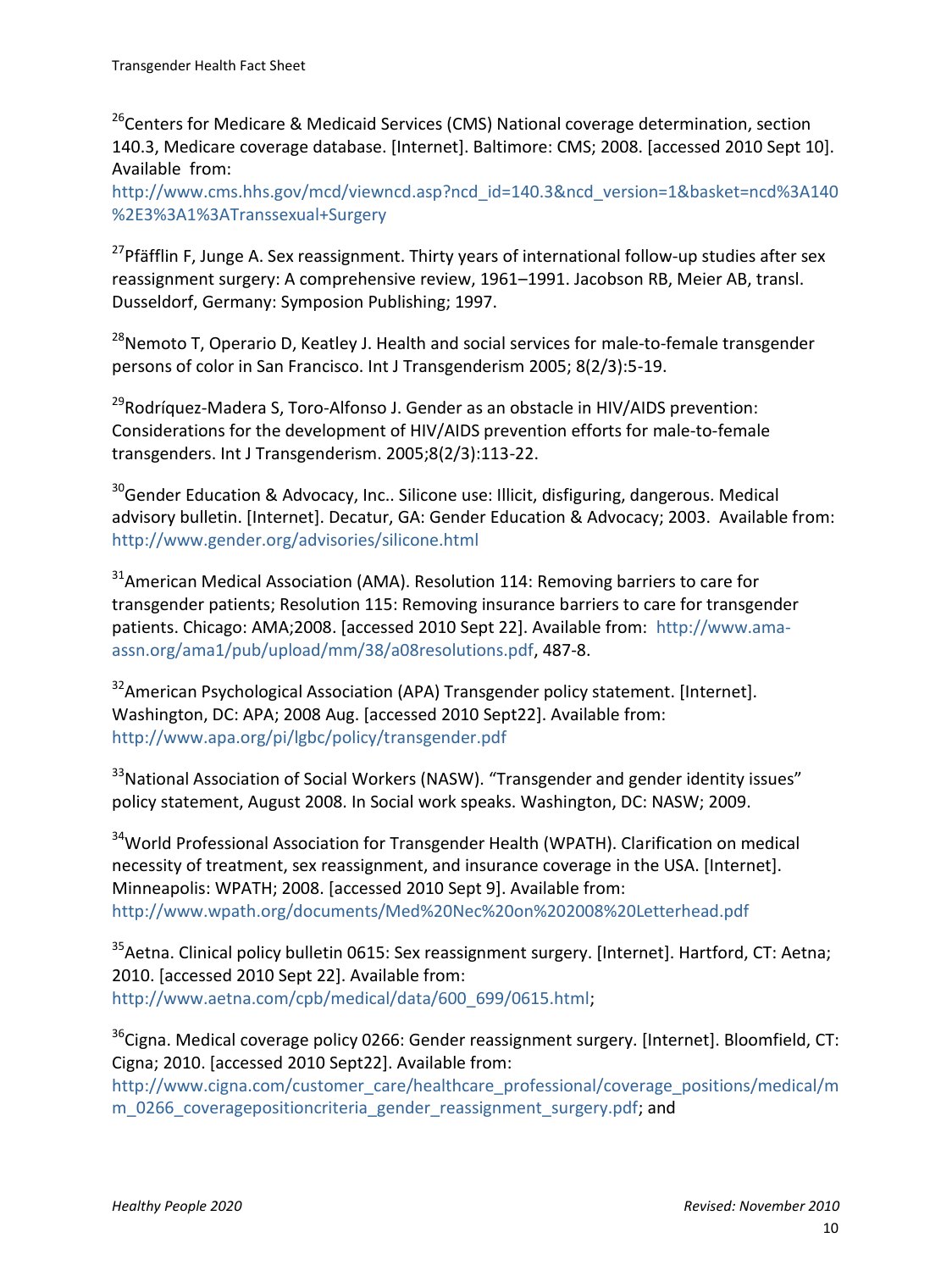<sup>26</sup>Centers for Medicare & Medicaid Services (CMS) National coverage determination, section 140.3, Medicare coverage database. [Internet]. Baltimore: CMS; 2008. [accessed 2010 Sept 10]. Available from:

[http://www.cms.hhs.gov/mcd/viewncd.asp?ncd\\_id=140.3&ncd\\_version=1&basket=ncd%3A140](http://www.cms.hhs.gov/mcd/viewncd.asp?ncd_id=140.3&ncd_version=1&basket=ncd%3A140%2E3%3A1%3ATranssexual+Surgery) [%2E3%3A1%3ATranssexual+Surgery](http://www.cms.hhs.gov/mcd/viewncd.asp?ncd_id=140.3&ncd_version=1&basket=ncd%3A140%2E3%3A1%3ATranssexual+Surgery)

<sup>27</sup>Pfäfflin F, Junge A. Sex reassignment. Thirty years of international follow-up studies after sex reassignment surgery: A comprehensive review, 1961–1991. Jacobson RB, Meier AB, transl. Dusseldorf, Germany: Symposion Publishing; 1997.

<sup>28</sup>Nemoto T, Operario D, Keatley J. Health and social services for male-to-female transgender persons of color in San Francisco. Int J Transgenderism 2005; 8(2/3):5-19.

<sup>29</sup>Rodríquez-Madera S, Toro-Alfonso J. Gender as an obstacle in HIV/AIDS prevention: Considerations for the development of HIV/AIDS prevention efforts for male-to-female transgenders. Int J Transgenderism. 2005;8(2/3):113-22.

 $30$ Gender Education & Advocacy, Inc., Silicone use: Illicit, disfiguring, dangerous. Medical advisory bulletin. [Internet]. Decatur, GA: Gender Education & Advocacy; 2003. Available from: <http://www.gender.org/advisories/silicone.html>

 $31$ American Medical Association (AMA). Resolution 114: Removing barriers to care for transgender patients; Resolution 115: Removing insurance barriers to care for transgender patients. Chicago: AMA;2008. [accessed 2010 Sept 22]. Available from: [http://www.ama](http://www.ama-assn.org/ama1/pub/upload/mm/38/a08resolutions.pdf)[assn.org/ama1/pub/upload/mm/38/a08resolutions.pdf,](http://www.ama-assn.org/ama1/pub/upload/mm/38/a08resolutions.pdf) 487-8.

<sup>32</sup> American Psychological Association (APA) Transgender policy statement. [Internet]. Washington, DC: APA; 2008 Aug. [accessed 2010 Sept22]. Available from: <http://www.apa.org/pi/lgbc/policy/transgender.pdf>

<sup>33</sup>National Association of Social Workers (NASW). "Transgender and gender identity issues" policy statement, August 2008. In Social work speaks. Washington, DC: NASW; 2009.

<sup>34</sup>World Professional Association for Transgender Health (WPATH). Clarification on medical necessity of treatment, sex reassignment, and insurance coverage in the USA. [Internet]. Minneapolis: WPATH; 2008. [accessed 2010 Sept 9]. Available from: <http://www.wpath.org/documents/Med%20Nec%20on%202008%20Letterhead.pdf>

<sup>35</sup> Aetna. Clinical policy bulletin 0615: Sex reassignment surgery. [Internet]. Hartford, CT: Aetna; 2010. [accessed 2010 Sept 22]. Available from: [http://www.aetna.com/cpb/medical/data/600\\_699/0615.html;](http://www.aetna.com/cpb/medical/data/600_699/0615.html)

<sup>36</sup>Cigna. Medical coverage policy 0266: Gender reassignment surgery. [Internet]. Bloomfield, CT: Cigna; 2010. [accessed 2010 Sept22]. Available from:

[http://www.cigna.com/customer\\_care/healthcare\\_professional/coverage\\_positions/medical/m](http://www.cigna.com/customer_care/healthcare_professional/coverage_positions/medical/mm_0266_coveragepositioncriteria_gender_reassignment_surgery.pdf) [m\\_0266\\_coveragepositioncriteria\\_gender\\_reassignment\\_surgery.pdf;](http://www.cigna.com/customer_care/healthcare_professional/coverage_positions/medical/mm_0266_coveragepositioncriteria_gender_reassignment_surgery.pdf) and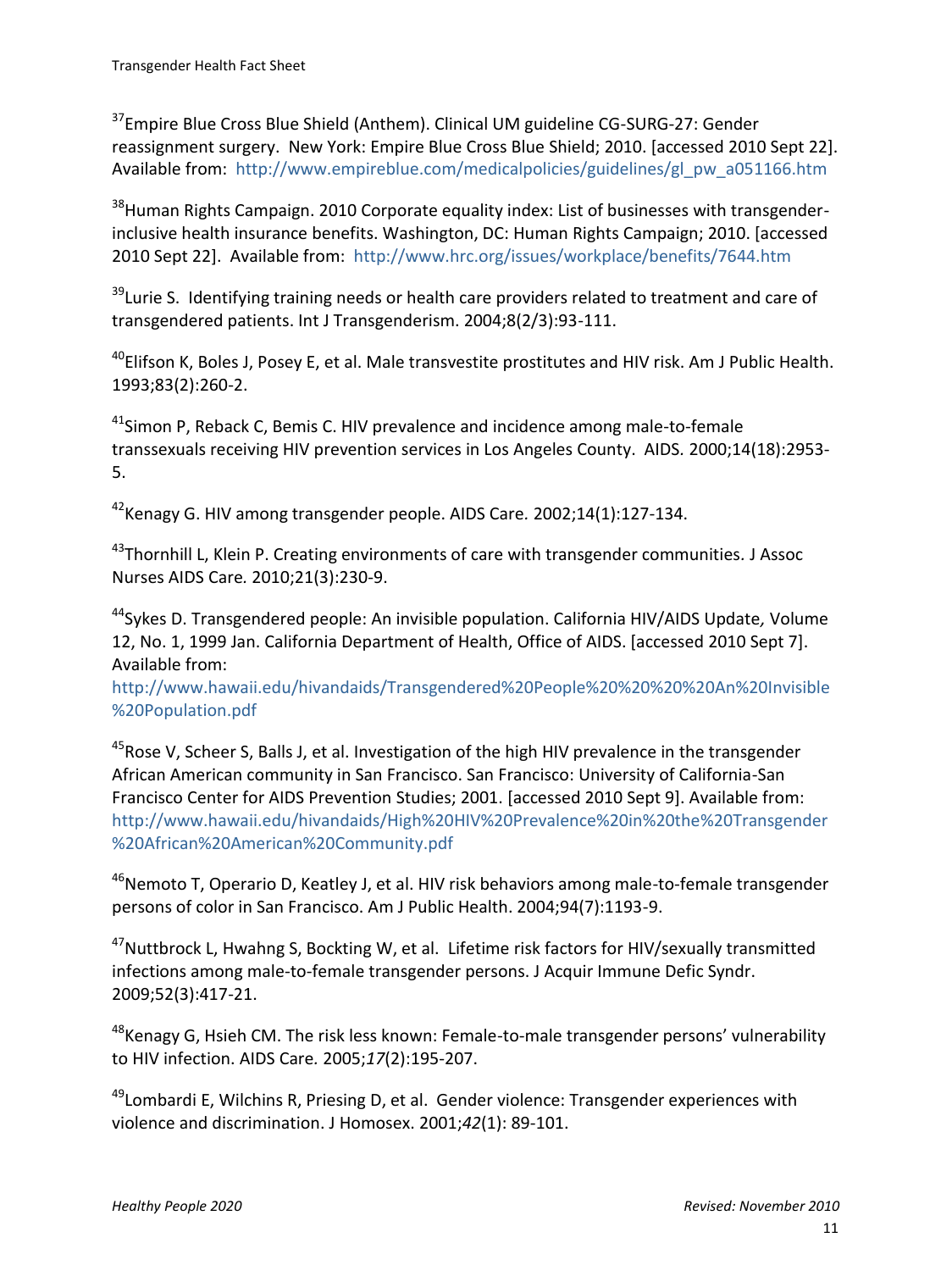<sup>37</sup>Empire Blue Cross Blue Shield (Anthem). Clinical UM guideline CG-SURG-27: Gender reassignment surgery. New York: Empire Blue Cross Blue Shield; 2010. [accessed 2010 Sept 22]. Available from: [http://www.empireblue.com/medicalpolicies/guidelines/gl\\_pw\\_a051166.htm](http://www.empireblue.com/medicalpolicies/guidelines/gl_pw_a051166.htm)

<sup>38</sup>Human Rights Campaign. 2010 Corporate equality index: List of businesses with transgenderinclusive health insurance benefits. Washington, DC: Human Rights Campaign; 2010. [accessed 2010 Sept 22]. Available from: <http://www.hrc.org/issues/workplace/benefits/7644.htm>

<sup>39</sup>Lurie S. Identifying training needs or health care providers related to treatment and care of transgendered patients. Int J Transgenderism. 2004;8(2/3):93-111.

 $^{40}$ Elifson K, Boles J, Posey E, et al. Male transvestite prostitutes and HIV risk. Am J Public Health. 1993;83(2):260-2.

 $41$ Simon P, Reback C, Bemis C. HIV prevalence and incidence among male-to-female transsexuals receiving HIV prevention services in Los Angeles County. AIDS*.* 2000;14(18):2953- 5.

<sup>42</sup>Kenagy G. HIV among transgender people. AIDS Care*.* 2002;14(1):127-134.

<sup>43</sup>Thornhill L, Klein P. Creating environments of care with transgender communities*.* J Assoc Nurses AIDS Care*.* 2010;21(3):230-9.

<sup>44</sup>Sykes D. Transgendered people: An invisible population. California HIV/AIDS Update*,* Volume 12, No. 1, 1999 Jan. California Department of Health, Office of AIDS. [accessed 2010 Sept 7]. Available from:

[http://www.hawaii.edu/hivandaids/Transgendered%20People%20%20%20%20An%20Invisible](http://www.hawaii.edu/hivandaids/Transgendered%20People%20%20%20%20An%20Invisible%20Population.pdf) [%20Population.pdf](http://www.hawaii.edu/hivandaids/Transgendered%20People%20%20%20%20An%20Invisible%20Population.pdf)

<sup>45</sup> Rose V, Scheer S, Balls J, et al. Investigation of the high HIV prevalence in the transgender African American community in San Francisco. San Francisco: University of California-San Francisco Center for AIDS Prevention Studies; 2001. [accessed 2010 Sept 9]. Available from: [http://www.hawaii.edu/hivandaids/High%20HIV%20Prevalence%20in%20the%20Transgender](http://www.hawaii.edu/hivandaids/High%20HIV%20Prevalence%20in%20the%20Transgender%20African%20American%20Community.pdf) [%20African%20American%20Community.pdf](http://www.hawaii.edu/hivandaids/High%20HIV%20Prevalence%20in%20the%20Transgender%20African%20American%20Community.pdf)

 $46$ Nemoto T, Operario D, Keatley J, et al. HIV risk behaviors among male-to-female transgender persons of color in San Francisco. Am J Public Health. 2004;94(7):1193-9.

 $47$ Nuttbrock L, Hwahng S, Bockting W, et al. Lifetime risk factors for HIV/sexually transmitted infections among male-to-female transgender persons. J Acquir Immune Defic Syndr. 2009;52(3):417-21.

 $48$ Kenagy G, Hsieh CM. The risk less known: Female-to-male transgender persons' vulnerability to HIV infection. AIDS Care*.* 2005;*17*(2):195-207.

 $49$ Lombardi E, Wilchins R, Priesing D, et al. Gender violence: Transgender experiences with violence and discrimination. J Homosex. 2001;*42*(1): 89-101.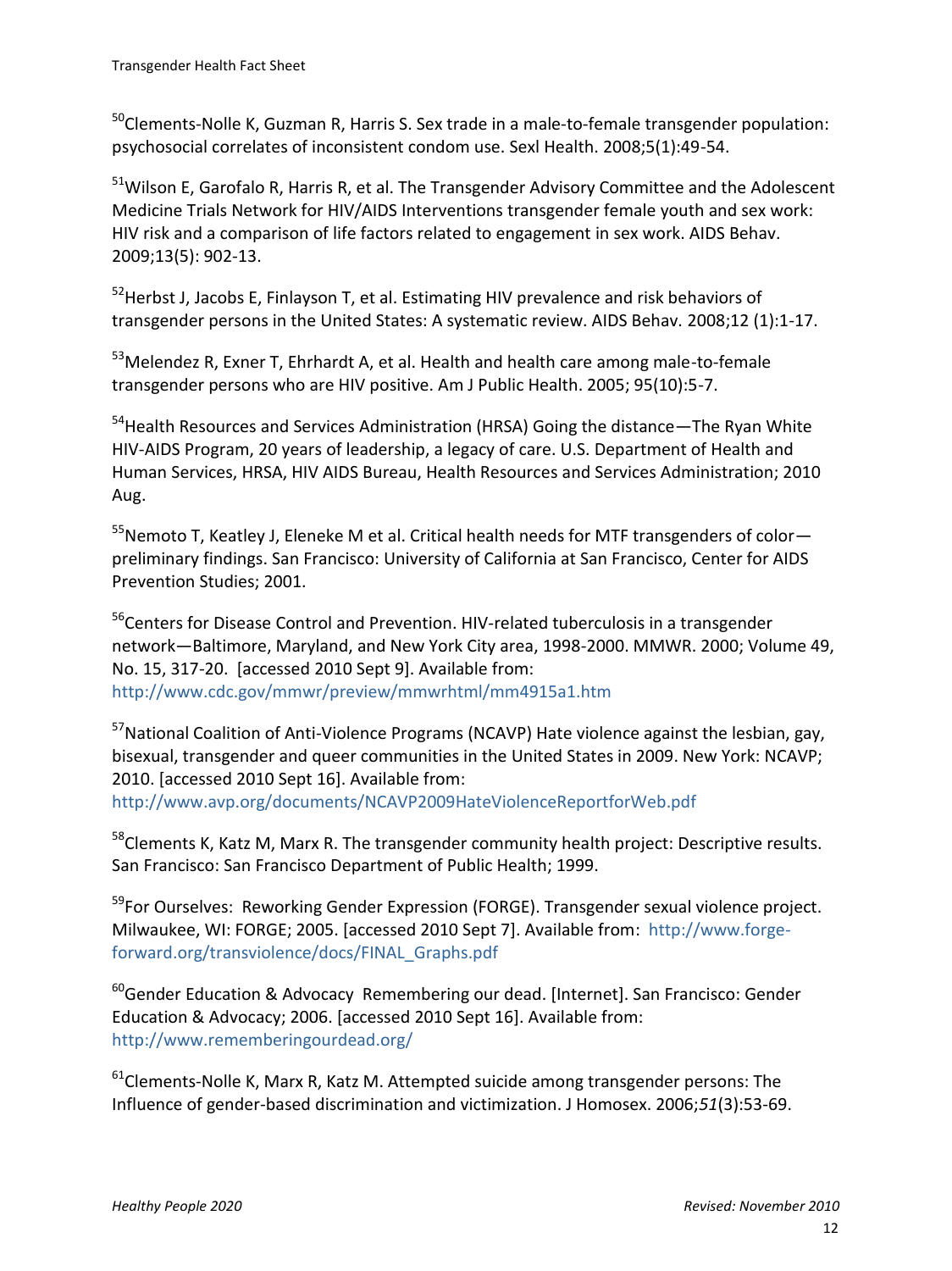$50$ Clements-Nolle K, Guzman R, Harris S. Sex trade in a male-to-female transgender population: psychosocial correlates of inconsistent condom use. Sexl Health. 2008;5(1):49-54.

 $51$ Wilson E, Garofalo R, Harris R, et al. The Transgender Advisory Committee and the Adolescent Medicine Trials Network for HIV/AIDS Interventions transgender female youth and sex work: HIV risk and a comparison of life factors related to engagement in sex work. AIDS Behav. 2009;13(5): 902-13.

<sup>52</sup> Herbst J, Jacobs E, Finlayson T, et al. Estimating HIV prevalence and risk behaviors of transgender persons in the United States: A systematic review. AIDS Behav. 2008;12 (1):1-17.

<sup>53</sup>Melendez R, Exner T, Ehrhardt A, et al. Health and health care among male-to-female transgender persons who are HIV positive. Am J Public Health. 2005; 95(10):5-7.

<sup>54</sup> Health Resources and Services Administration (HRSA) Going the distance—The Ryan White HIV-AIDS Program, 20 years of leadership, a legacy of care. U.S. Department of Health and Human Services, HRSA, HIV AIDS Bureau, Health Resources and Services Administration; 2010 Aug.

 $55$ Nemoto T, Keatley J, Eleneke M et al. Critical health needs for MTF transgenders of color $$ preliminary findings. San Francisco: University of California at San Francisco, Center for AIDS Prevention Studies; 2001.

<sup>56</sup>Centers for Disease Control and Prevention. HIV-related tuberculosis in a transgender network—Baltimore, Maryland, and New York City area, 1998-2000. MMWR. 2000; Volume 49, No. 15, 317-20. [accessed 2010 Sept 9]. Available from: <http://www.cdc.gov/mmwr/preview/mmwrhtml/mm4915a1.htm>

<sup>57</sup>National Coalition of Anti-Violence Programs (NCAVP) Hate violence against the lesbian, gay, bisexual, transgender and queer communities in the United States in 2009. New York: NCAVP; 2010. [accessed 2010 Sept 16]. Available from: <http://www.avp.org/documents/NCAVP2009HateViolenceReportforWeb.pdf>

<sup>58</sup>Clements K, Katz M, Marx R. The transgender community health project: Descriptive results. San Francisco: San Francisco Department of Public Health; 1999.

<sup>59</sup>For Ourselves: Reworking Gender Expression (FORGE). Transgender sexual violence project. Milwaukee, WI: FORGE; 2005. [accessed 2010 Sept 7]. Available from: [http://www.forge](http://www.forge-forward.org/transviolence/docs/FINAL_Graphs.pdf)[forward.org/transviolence/docs/FINAL\\_Graphs.pdf](http://www.forge-forward.org/transviolence/docs/FINAL_Graphs.pdf)

 $60$ Gender Education & Advocacy Remembering our dead. [Internet]. San Francisco: Gender Education & Advocacy; 2006. [accessed 2010 Sept 16]. Available from: <http://www.rememberingourdead.org/>

 $61$ Clements-Nolle K, Marx R, Katz M. Attempted suicide among transgender persons: The Influence of gender-based discrimination and victimization. J Homosex. 2006;*51*(3):53-69.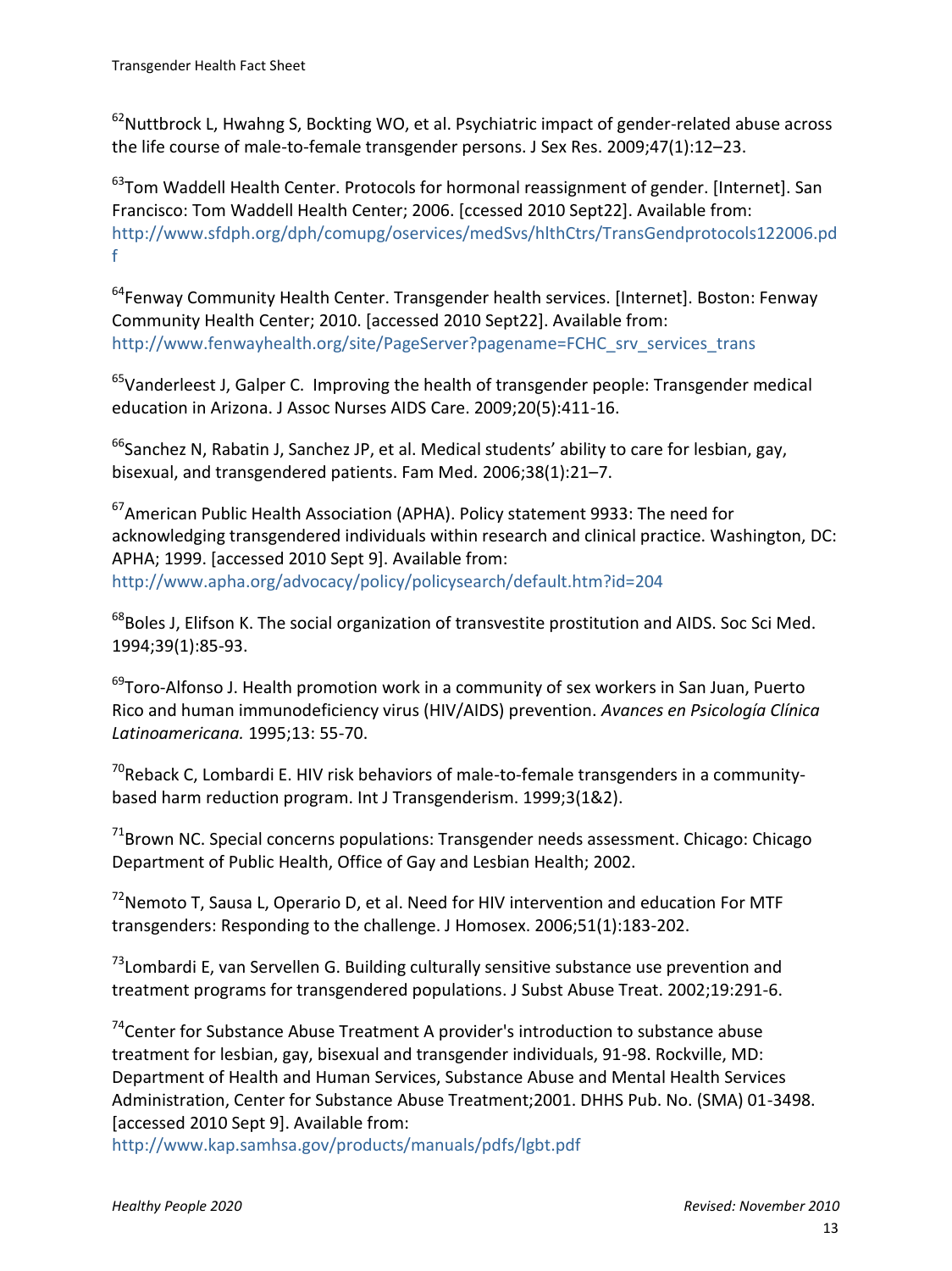$62$ Nuttbrock L, Hwahng S, Bockting WO, et al. Psychiatric impact of gender-related abuse across the life course of male-to-female transgender persons. J Sex Res. 2009;47(1):12–23.

 $63$ Tom Waddell Health Center. Protocols for hormonal reassignment of gender. [Internet]. San Francisco: Tom Waddell Health Center; 2006. [ccessed 2010 Sept22]. Available from: [http://www.sfdph.org/dph/comupg/oservices/medSvs/hlthCtrs/TransGendprotocols122006.pd](http://www.sfdph.org/dph/comupg/oservices/medSvs/hlthCtrs/TransGendprotocols122006.pdf) [f](http://www.sfdph.org/dph/comupg/oservices/medSvs/hlthCtrs/TransGendprotocols122006.pdf)

<sup>64</sup>Fenway Community Health Center. Transgender health services. [Internet]. Boston: Fenway Community Health Center; 2010. [accessed 2010 Sept22]. Available from: [http://www.fenwayhealth.org/site/PageServer?pagename=FCHC\\_srv\\_services\\_trans](http://www.fenwayhealth.org/site/PageServer?pagename=FCHC_srv_services_trans)

<sup>65</sup>Vanderleest J, Galper C. Improving the health of transgender people: Transgender medical education in Arizona. J Assoc Nurses AIDS Care. 2009;20(5):411-16.

 $66$ Sanchez N, Rabatin J, Sanchez JP, et al. Medical students' ability to care for lesbian, gay, bisexual, and transgendered patients. Fam Med*.* 2006;38(1):21–7.

<sup>67</sup>American Public Health Association (APHA). Policy statement 9933: The need for acknowledging transgendered individuals within research and clinical practice. Washington, DC: APHA; 1999. [accessed 2010 Sept 9]. Available from: <http://www.apha.org/advocacy/policy/policysearch/default.htm?id=204>

<sup>68</sup>Boles J, Elifson K. The social organization of transvestite prostitution and AIDS. Soc Sci Med. 1994;39(1):85-93.

 $^{69}$ Toro-Alfonso J. Health promotion work in a community of sex workers in San Juan, Puerto Rico and human immunodeficiency virus (HIV/AIDS) prevention. *[Avances en Psicología Clínica](http://80-web12.epnet.com.researchport.umd.edu:2050/searchpost.asp?tb=1&_ug=sid+87A3D3F0%2D21B5%2D4603%2D95DF%2DA396A353A700%40sessionmgr4+dbs+cmedm+cp+1+F8B6&_us=hd+False+hs+False+or+Date+fh+False+ss+SO+sm+ES+sl+%2D1+ri+KAAACBUB00154699+dstb+ES+mh+1+frn+1+DB3C&_uso=hd+False+tg%5B2+%2D+tg%5B1+%2D+tg%5B0+%2DAU+st%5B2+%2D+st%5B1+%2D+st%5B0+%2DToro++Alfonso++J%2E+db%5B0+%2Dcmedm+op%5B2+%2DAnd+op%5B1+%2DAnd+op%5B0+%2D+8916&ss=TA%20%22Av%20Piscol%20Clin%20Latinonot%22&fscan=Sub&lfr=Lateral)  [Latinoamericana.](http://80-web12.epnet.com.researchport.umd.edu:2050/searchpost.asp?tb=1&_ug=sid+87A3D3F0%2D21B5%2D4603%2D95DF%2DA396A353A700%40sessionmgr4+dbs+cmedm+cp+1+F8B6&_us=hd+False+hs+False+or+Date+fh+False+ss+SO+sm+ES+sl+%2D1+ri+KAAACBUB00154699+dstb+ES+mh+1+frn+1+DB3C&_uso=hd+False+tg%5B2+%2D+tg%5B1+%2D+tg%5B0+%2DAU+st%5B2+%2D+st%5B1+%2D+st%5B0+%2DToro++Alfonso++J%2E+db%5B0+%2Dcmedm+op%5B2+%2DAnd+op%5B1+%2DAnd+op%5B0+%2D+8916&ss=TA%20%22Av%20Piscol%20Clin%20Latinonot%22&fscan=Sub&lfr=Lateral)* 1995;13: 55-70.

 $70$ Reback C, Lombardi E. HIV risk behaviors of male-to-female transgenders in a communitybased harm reduction program. Int J Transgenderism. 1999;3(1&2).

<sup>71</sup>Brown NC. Special concerns populations: Transgender needs assessment. Chicago: Chicago Department of Public Health, Office of Gay and Lesbian Health; 2002.

 $72$ Nemoto T, Sausa L, Operario D, et al. Need for HIV intervention and education For MTF transgenders: Responding to the challenge. J Homosex. 2006;51(1):183-202.

<sup>73</sup>Lombardi E, van Servellen G. Building culturally sensitive substance use prevention and treatment programs for transgendered populations. J Subst Abuse Treat. 2002;19:291-6.

 $74$ Center for Substance Abuse Treatment A provider's introduction to substance abuse treatment for lesbian, gay, bisexual and transgender individuals, 91-98. Rockville, MD: Department of Health and Human Services, Substance Abuse and Mental Health Services Administration, Center for Substance Abuse Treatment;2001. DHHS Pub. No. (SMA) 01-3498. [accessed 2010 Sept 9]. Available from:

<http://www.kap.samhsa.gov/products/manuals/pdfs/lgbt.pdf>